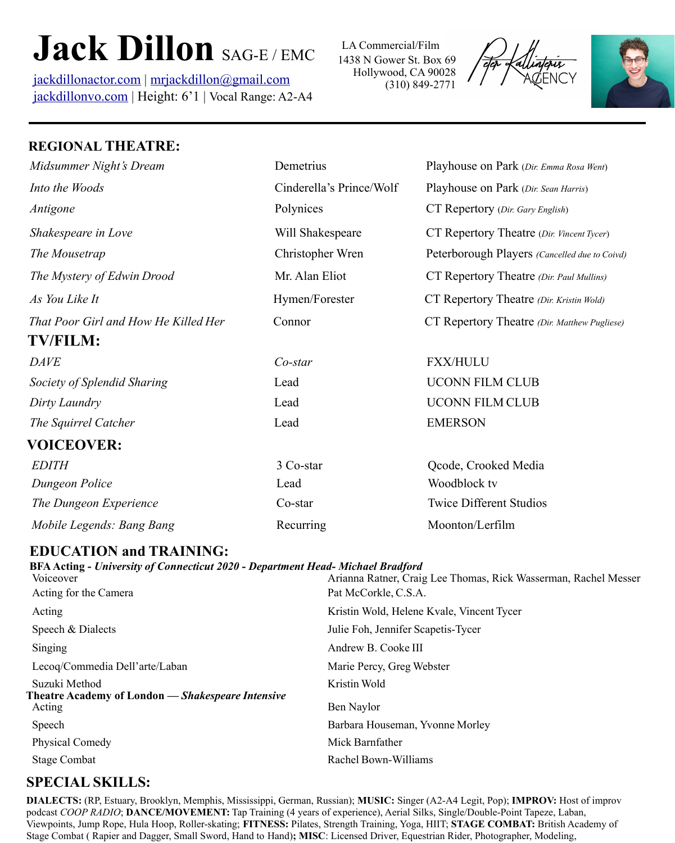# **Jack Dillon** SAG-E/EMC

[jackdillonactor.com](http://jackdillonactor.com) | [mrjackdillon@gmail.com](mailto:mrjackdillon@gmail.com) [jackdillonvo.com](http://jackdillonvo.com) | Height: 6'1 | Vocal Range: A2-A4 1438 N Gower St. Box 69 Hollywood, CA 90028 (310) 849-2771 LA Commercial/Film





## **REGIONAL THEATRE:**

| Midsummer Night's Dream              | Demetrius                | Playhouse on Park (Dir. Emma Rosa Went)       |
|--------------------------------------|--------------------------|-----------------------------------------------|
| Into the Woods                       | Cinderella's Prince/Wolf | Playhouse on Park (Dir. Sean Harris)          |
| Antigone                             | Polynices                | CT Repertory (Dir. Gary English)              |
| Shakespeare in Love                  | Will Shakespeare         | CT Repertory Theatre (Dir. Vincent Tycer)     |
| The Mousetrap                        | Christopher Wren         | Peterborough Players (Cancelled due to Coivd) |
| The Mystery of Edwin Drood           | Mr. Alan Eliot           | CT Repertory Theatre (Dir. Paul Mullins)      |
| As You Like It                       | Hymen/Forester           | CT Repertory Theatre (Dir. Kristin Wold)      |
| That Poor Girl and How He Killed Her | Connor                   | CT Repertory Theatre (Dir. Matthew Pugliese)  |
| <b>TV/FILM:</b>                      |                          |                                               |
| <b>DAVE</b>                          | $Co$ -star               | <b>FXX/HULU</b>                               |
| Society of Splendid Sharing          | Lead                     | <b>UCONN FILM CLUB</b>                        |
| Dirty Laundry                        | Lead                     | <b>UCONN FILM CLUB</b>                        |
| The Squirrel Catcher                 | Lead                     | <b>EMERSON</b>                                |
| <b>VOICEOVER:</b>                    |                          |                                               |
| <b>EDITH</b>                         | 3 Co-star                | Qcode, Crooked Media                          |
| Dungeon Police                       | Lead                     | Woodblock tv                                  |
| The Dungeon Experience               | Co-star                  | <b>Twice Different Studios</b>                |
| Mobile Legends: Bang Bang            | Recurring                | Moonton/Lerfilm                               |

### **EDUCATION and TRAINING:**

#### **BFA Acting -** *University of Connecticut 2020 - Department Head- Michael Bradford*

| Voiceover                                                                 | Arianna Ratner, Craig Lee Thomas, Rick Wasserman, Rachel Messer |  |
|---------------------------------------------------------------------------|-----------------------------------------------------------------|--|
| Acting for the Camera                                                     | Pat McCorkle, C.S.A.                                            |  |
| Acting                                                                    | Kristin Wold, Helene Kvale, Vincent Tycer                       |  |
| Speech & Dialects                                                         | Julie Foh, Jennifer Scapetis-Tycer                              |  |
| Singing                                                                   | Andrew B. Cooke III                                             |  |
| Lecoq/Commedia Dell'arte/Laban                                            | Marie Percy, Greg Webster                                       |  |
| Suzuki Method<br><b>Theatre Academy of London — Shakespeare Intensive</b> | Kristin Wold                                                    |  |
| Acting                                                                    | Ben Naylor                                                      |  |
| Speech                                                                    | Barbara Houseman, Yvonne Morley                                 |  |
| <b>Physical Comedy</b>                                                    | Mick Barnfather                                                 |  |
| Stage Combat                                                              | Rachel Bown-Williams                                            |  |
|                                                                           |                                                                 |  |

## **SPECIAL SKILLS:**

**DIALECTS:** (RP, Estuary, Brooklyn, Memphis, Mississippi, German, Russian); **MUSIC:** Singer (A2-A4 Legit, Pop); **IMPROV:** Host of improv podcast *COOP RADIO*; **DANCE/MOVEMENT:** Tap Training (4 years of experience), Aerial Silks, Single/Double-Point Tapeze, Laban, Viewpoints, Jump Rope, Hula Hoop, Roller-skating; **FITNESS:** Pilates, Strength Training, Yoga, HIIT; **STAGE COMBAT:** British Academy of Stage Combat ( Rapier and Dagger, Small Sword, Hand to Hand)**; MISC**: Licensed Driver, Equestrian Rider, Photographer, Modeling,